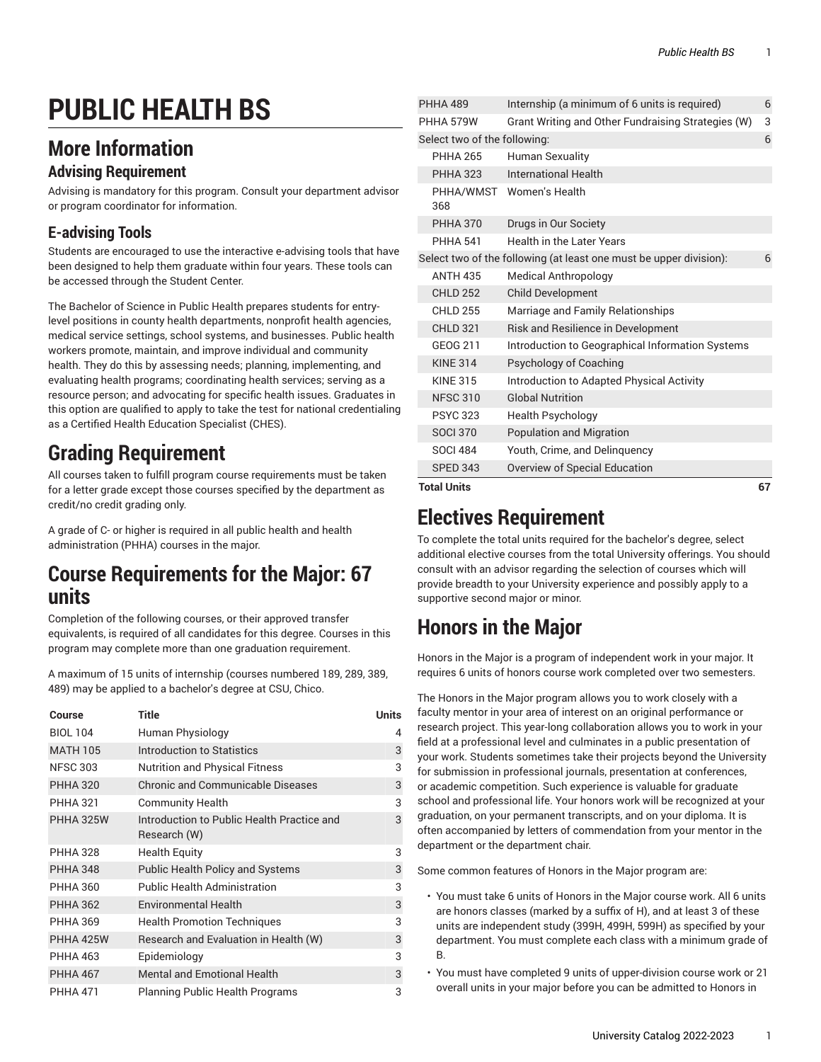# **PUBLIC HEALTH BS**

## **More Information**

#### **Advising Requirement**

Advising is mandatory for this program. Consult your department advisor or program coordinator for information.

#### **E-advising Tools**

Students are encouraged to use the interactive e-advising tools that have been designed to help them graduate within four years. These tools can be accessed through the Student Center.

The Bachelor of Science in Public Health prepares students for entrylevel positions in county health departments, nonprofit health agencies, medical service settings, school systems, and businesses. Public health workers promote, maintain, and improve individual and community health. They do this by assessing needs; planning, implementing, and evaluating health programs; coordinating health services; serving as a resource person; and advocating for specific health issues. Graduates in this option are qualified to apply to take the test for national credentialing as a Certified Health Education Specialist (CHES).

# **Grading Requirement**

All courses taken to fulfill program course requirements must be taken for a letter grade except those courses specified by the department as credit/no credit grading only.

A grade of C- or higher is required in all public health and health administration (PHHA) courses in the major.

#### **Course Requirements for the Major: 67 units**

Completion of the following courses, or their approved transfer equivalents, is required of all candidates for this degree. Courses in this program may complete more than one graduation requirement.

A maximum of 15 units of internship (courses numbered 189, 289, 389, 489) may be applied to a bachelor's degree at CSU, Chico.

| Course           | <b>Title</b>                                               | <b>Units</b> |
|------------------|------------------------------------------------------------|--------------|
| <b>BIOL 104</b>  | Human Physiology                                           | 4            |
| <b>MATH 105</b>  | Introduction to Statistics                                 | 3            |
| <b>NFSC 303</b>  | <b>Nutrition and Physical Fitness</b>                      | 3            |
| <b>PHHA 320</b>  | <b>Chronic and Communicable Diseases</b>                   | 3            |
| <b>PHHA 321</b>  | <b>Community Health</b>                                    | 3            |
| <b>PHHA 325W</b> | Introduction to Public Health Practice and<br>Research (W) | 3            |
| <b>PHHA 328</b>  | <b>Health Equity</b>                                       | 3            |
| <b>PHHA 348</b>  | <b>Public Health Policy and Systems</b>                    | 3            |
| <b>PHHA 360</b>  | <b>Public Health Administration</b>                        | 3            |
| <b>PHHA 362</b>  | <b>Environmental Health</b>                                | 3            |
| <b>PHHA 369</b>  | <b>Health Promotion Techniques</b>                         | 3            |
| PHHA 425W        | Research and Evaluation in Health (W)                      | 3            |
| <b>PHHA 463</b>  | Epidemiology                                               | 3            |
| <b>PHHA 467</b>  | <b>Mental and Emotional Health</b>                         | 3            |
| <b>PHHA 471</b>  | <b>Planning Public Health Programs</b>                     | 3            |

| <b>Total Units</b>           |                                                                    | 67 |
|------------------------------|--------------------------------------------------------------------|----|
| <b>SPED 343</b>              | Overview of Special Education                                      |    |
| <b>SOCI 484</b>              | Youth, Crime, and Delinguency                                      |    |
| <b>SOCI 370</b>              | <b>Population and Migration</b>                                    |    |
| <b>PSYC 323</b>              | <b>Health Psychology</b>                                           |    |
| <b>NFSC 310</b>              | <b>Global Nutrition</b>                                            |    |
| <b>KINE 315</b>              | Introduction to Adapted Physical Activity                          |    |
| <b>KINE 314</b>              | Psychology of Coaching                                             |    |
| GEOG 211                     | Introduction to Geographical Information Systems                   |    |
| <b>CHLD 321</b>              | Risk and Resilience in Development                                 |    |
| <b>CHLD 255</b>              | Marriage and Family Relationships                                  |    |
| <b>CHLD 252</b>              | Child Development                                                  |    |
| <b>ANTH 435</b>              | Medical Anthropology                                               |    |
|                              | Select two of the following (at least one must be upper division): | 6  |
| <b>PHHA 541</b>              | Health in the Later Years                                          |    |
| <b>PHHA 370</b>              | Drugs in Our Society                                               |    |
| PHHA/WMST<br>368             | Women's Health                                                     |    |
| <b>PHHA 323</b>              | <b>International Health</b>                                        |    |
| <b>PHHA 265</b>              | Human Sexuality                                                    |    |
| Select two of the following: |                                                                    | 6  |
| PHHA 579W                    | Grant Writing and Other Fundraising Strategies (W)                 | 3  |
| <b>PHHA 489</b>              | Internship (a minimum of 6 units is required)                      | 6  |

### **Electives Requirement**

To complete the total units required for the bachelor's degree, select additional elective courses from the total University offerings. You should consult with an advisor regarding the selection of courses which will provide breadth to your University experience and possibly apply to a supportive second major or minor.

# **Honors in the Major**

Honors in the Major is a program of independent work in your major. It requires 6 units of honors course work completed over two semesters.

The Honors in the Major program allows you to work closely with a faculty mentor in your area of interest on an original performance or research project. This year-long collaboration allows you to work in your field at a professional level and culminates in a public presentation of your work. Students sometimes take their projects beyond the University for submission in professional journals, presentation at conferences, or academic competition. Such experience is valuable for graduate school and professional life. Your honors work will be recognized at your graduation, on your permanent transcripts, and on your diploma. It is often accompanied by letters of commendation from your mentor in the department or the department chair.

Some common features of Honors in the Major program are:

- You must take 6 units of Honors in the Major course work. All 6 units are honors classes (marked by a suffix of H), and at least 3 of these units are independent study (399H, 499H, 599H) as specified by your department. You must complete each class with a minimum grade of B.
- You must have completed 9 units of upper-division course work or 21 overall units in your major before you can be admitted to Honors in